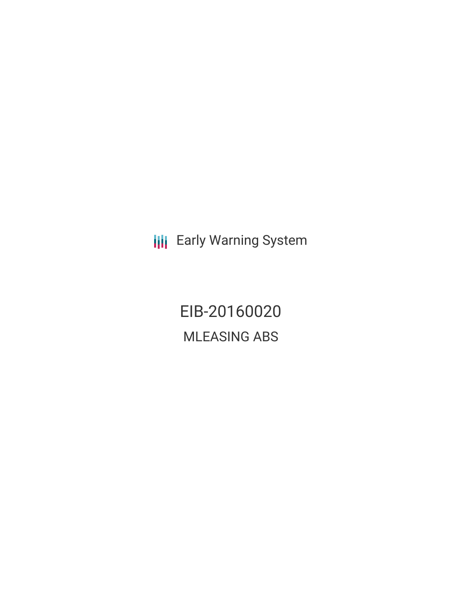**III** Early Warning System

EIB-20160020 MLEASING ABS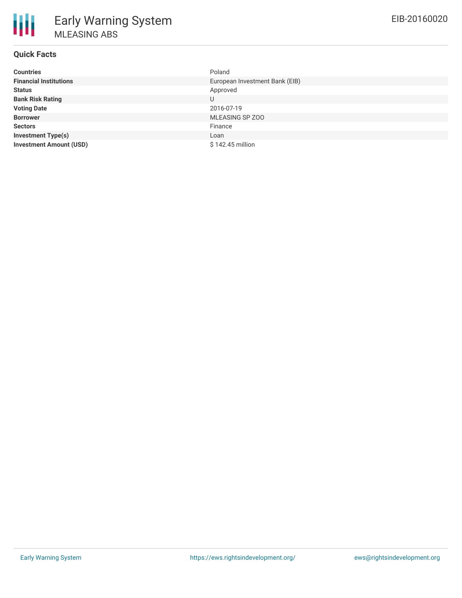| <b>Countries</b>               | Poland                         |
|--------------------------------|--------------------------------|
| <b>Financial Institutions</b>  | European Investment Bank (EIB) |
| <b>Status</b>                  | Approved                       |
| <b>Bank Risk Rating</b>        | U                              |
| <b>Voting Date</b>             | 2016-07-19                     |
| <b>Borrower</b>                | MLEASING SP ZOO                |
| <b>Sectors</b>                 | Finance                        |
| <b>Investment Type(s)</b>      | Loan                           |
| <b>Investment Amount (USD)</b> | \$142.45 million               |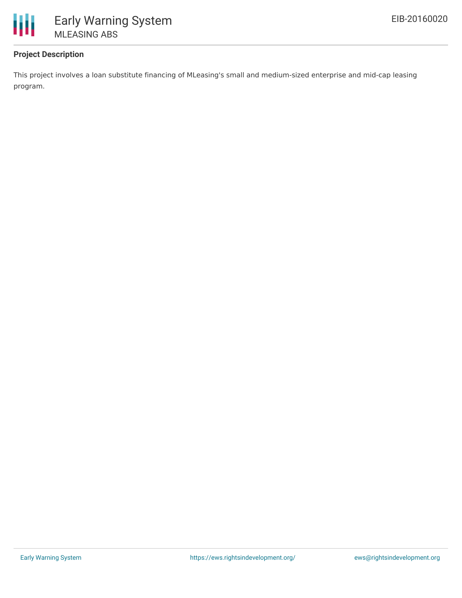

## **Project Description**

This project involves a loan substitute financing of MLeasing's small and medium-sized enterprise and mid-cap leasing program.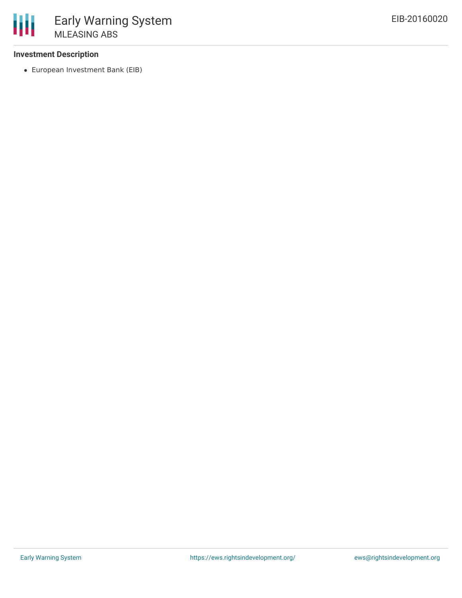## **Investment Description**

European Investment Bank (EIB)